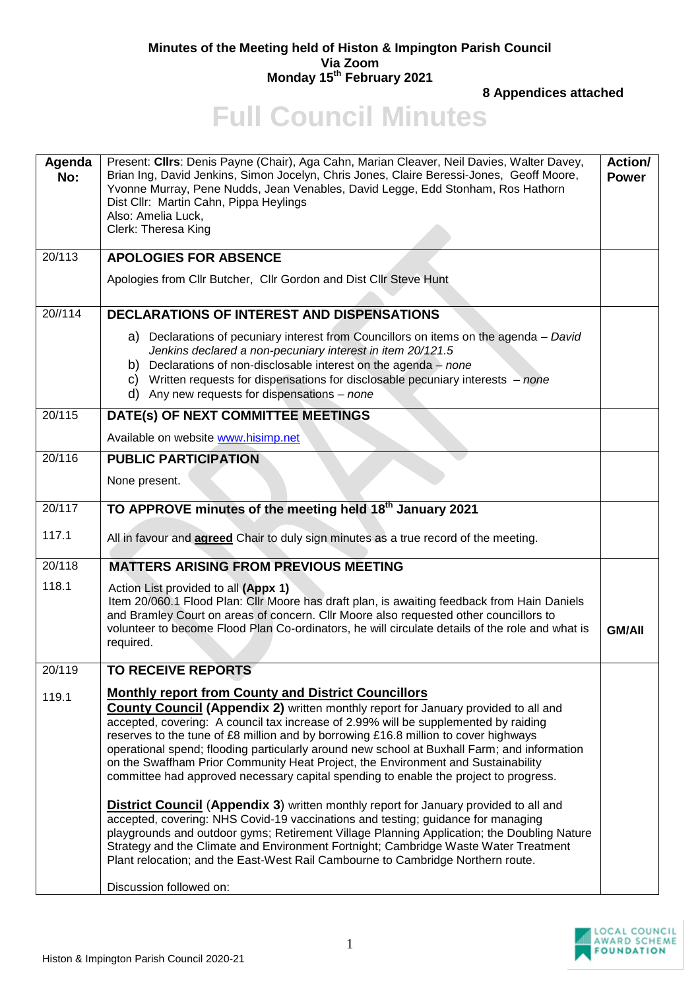## **Minutes of the Meeting held of Histon & Impington Parish Council Via Zoom Monday 15th February 2021**

**8 Appendices attached**

## **Full Council Minutes**

| Agenda<br>No: | Present: Cllrs: Denis Payne (Chair), Aga Cahn, Marian Cleaver, Neil Davies, Walter Davey,<br>Brian Ing, David Jenkins, Simon Jocelyn, Chris Jones, Claire Beressi-Jones, Geoff Moore,<br>Yvonne Murray, Pene Nudds, Jean Venables, David Legge, Edd Stonham, Ros Hathorn<br>Dist Cllr: Martin Cahn, Pippa Heylings<br>Also: Amelia Luck,<br>Clerk: Theresa King                                                                                                                                                                                                                                                                                                                                                                                                                                                                                                                                                                                                                          | Action/<br><b>Power</b> |
|---------------|------------------------------------------------------------------------------------------------------------------------------------------------------------------------------------------------------------------------------------------------------------------------------------------------------------------------------------------------------------------------------------------------------------------------------------------------------------------------------------------------------------------------------------------------------------------------------------------------------------------------------------------------------------------------------------------------------------------------------------------------------------------------------------------------------------------------------------------------------------------------------------------------------------------------------------------------------------------------------------------|-------------------------|
| 20/113        | <b>APOLOGIES FOR ABSENCE</b>                                                                                                                                                                                                                                                                                                                                                                                                                                                                                                                                                                                                                                                                                                                                                                                                                                                                                                                                                             |                         |
|               | Apologies from Cllr Butcher, Cllr Gordon and Dist Cllr Steve Hunt                                                                                                                                                                                                                                                                                                                                                                                                                                                                                                                                                                                                                                                                                                                                                                                                                                                                                                                        |                         |
| 20//114       | <b>DECLARATIONS OF INTEREST AND DISPENSATIONS</b>                                                                                                                                                                                                                                                                                                                                                                                                                                                                                                                                                                                                                                                                                                                                                                                                                                                                                                                                        |                         |
|               | a) Declarations of pecuniary interest from Councillors on items on the agenda – David<br>Jenkins declared a non-pecuniary interest in item 20/121.5<br>Declarations of non-disclosable interest on the agenda $-$ none<br>b)<br>c) Written requests for dispensations for disclosable pecuniary interests $-$ none<br>d) Any new requests for dispensations $-$ none                                                                                                                                                                                                                                                                                                                                                                                                                                                                                                                                                                                                                     |                         |
| 20/115        | DATE(s) OF NEXT COMMITTEE MEETINGS                                                                                                                                                                                                                                                                                                                                                                                                                                                                                                                                                                                                                                                                                                                                                                                                                                                                                                                                                       |                         |
|               | Available on website www.hisimp.net                                                                                                                                                                                                                                                                                                                                                                                                                                                                                                                                                                                                                                                                                                                                                                                                                                                                                                                                                      |                         |
| 20/116        | <b>PUBLIC PARTICIPATION</b>                                                                                                                                                                                                                                                                                                                                                                                                                                                                                                                                                                                                                                                                                                                                                                                                                                                                                                                                                              |                         |
|               | None present.                                                                                                                                                                                                                                                                                                                                                                                                                                                                                                                                                                                                                                                                                                                                                                                                                                                                                                                                                                            |                         |
| 20/117        | TO APPROVE minutes of the meeting held 18 <sup>th</sup> January 2021                                                                                                                                                                                                                                                                                                                                                                                                                                                                                                                                                                                                                                                                                                                                                                                                                                                                                                                     |                         |
| 117.1         | All in favour and <b>agreed</b> Chair to duly sign minutes as a true record of the meeting.                                                                                                                                                                                                                                                                                                                                                                                                                                                                                                                                                                                                                                                                                                                                                                                                                                                                                              |                         |
| 20/118        | <b>MATTERS ARISING FROM PREVIOUS MEETING</b>                                                                                                                                                                                                                                                                                                                                                                                                                                                                                                                                                                                                                                                                                                                                                                                                                                                                                                                                             |                         |
| 118.1         | Action List provided to all (Appx 1)<br>Item 20/060.1 Flood Plan: Cllr Moore has draft plan, is awaiting feedback from Hain Daniels<br>and Bramley Court on areas of concern. Cllr Moore also requested other councillors to<br>volunteer to become Flood Plan Co-ordinators, he will circulate details of the role and what is<br>required.                                                                                                                                                                                                                                                                                                                                                                                                                                                                                                                                                                                                                                             | <b>GM/AII</b>           |
| 20/119        | <b>TO RECEIVE REPORTS</b>                                                                                                                                                                                                                                                                                                                                                                                                                                                                                                                                                                                                                                                                                                                                                                                                                                                                                                                                                                |                         |
| 119.1         | <b>Monthly report from County and District Councillors</b><br><b>County Council (Appendix 2)</b> written monthly report for January provided to all and<br>accepted, covering: A council tax increase of 2.99% will be supplemented by raiding<br>reserves to the tune of £8 million and by borrowing £16.8 million to cover highways<br>operational spend; flooding particularly around new school at Buxhall Farm; and information<br>on the Swaffham Prior Community Heat Project, the Environment and Sustainability<br>committee had approved necessary capital spending to enable the project to progress.<br><b>District Council (Appendix 3)</b> written monthly report for January provided to all and<br>accepted, covering: NHS Covid-19 vaccinations and testing; guidance for managing<br>playgrounds and outdoor gyms; Retirement Village Planning Application; the Doubling Nature<br>Strategy and the Climate and Environment Fortnight; Cambridge Waste Water Treatment |                         |
|               | Plant relocation; and the East-West Rail Cambourne to Cambridge Northern route.<br>Discussion followed on:                                                                                                                                                                                                                                                                                                                                                                                                                                                                                                                                                                                                                                                                                                                                                                                                                                                                               |                         |

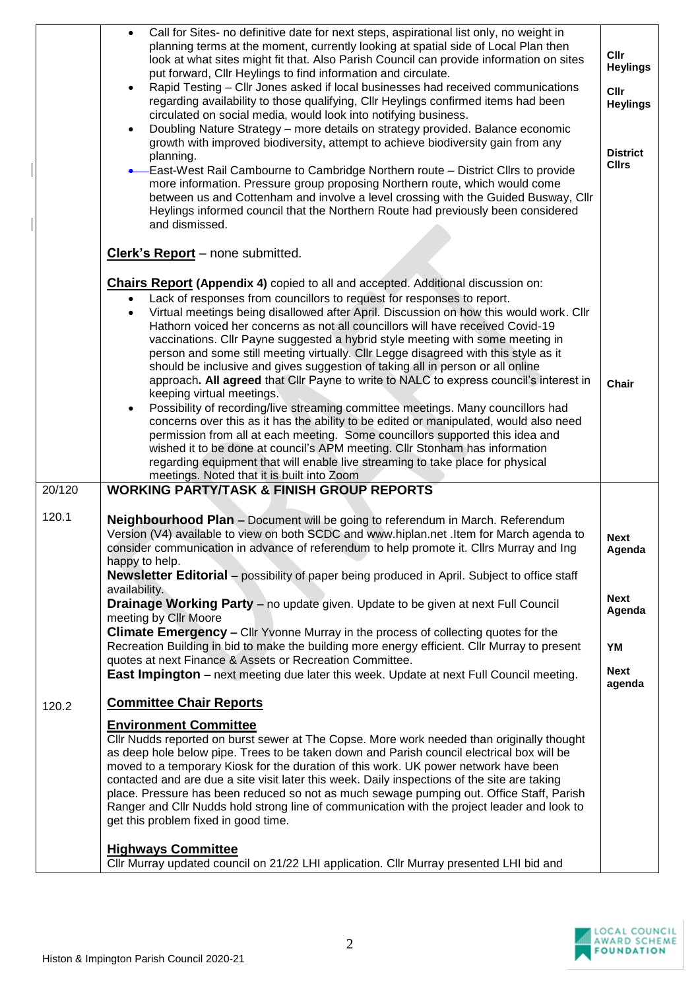|        | Call for Sites- no definitive date for next steps, aspirational list only, no weight in<br>$\bullet$<br>planning terms at the moment, currently looking at spatial side of Local Plan then<br>look at what sites might fit that. Also Parish Council can provide information on sites<br>put forward, Cllr Heylings to find information and circulate.<br>Rapid Testing - Cllr Jones asked if local businesses had received communications<br>regarding availability to those qualifying, Cllr Heylings confirmed items had been<br>circulated on social media, would look into notifying business.<br>Doubling Nature Strategy - more details on strategy provided. Balance economic<br>growth with improved biodiversity, attempt to achieve biodiversity gain from any<br>planning.<br><b>•</b> East-West Rail Cambourne to Cambridge Northern route - District Cllrs to provide<br>more information. Pressure group proposing Northern route, which would come<br>between us and Cottenham and involve a level crossing with the Guided Busway, Cllr<br>Heylings informed council that the Northern Route had previously been considered<br>and dismissed.                                               | <b>Cllr</b><br><b>Heylings</b><br><b>CIIr</b><br><b>Heylings</b><br><b>District</b><br><b>Cllrs</b> |
|--------|--------------------------------------------------------------------------------------------------------------------------------------------------------------------------------------------------------------------------------------------------------------------------------------------------------------------------------------------------------------------------------------------------------------------------------------------------------------------------------------------------------------------------------------------------------------------------------------------------------------------------------------------------------------------------------------------------------------------------------------------------------------------------------------------------------------------------------------------------------------------------------------------------------------------------------------------------------------------------------------------------------------------------------------------------------------------------------------------------------------------------------------------------------------------------------------------------------------|-----------------------------------------------------------------------------------------------------|
|        | Clerk's Report - none submitted.                                                                                                                                                                                                                                                                                                                                                                                                                                                                                                                                                                                                                                                                                                                                                                                                                                                                                                                                                                                                                                                                                                                                                                             |                                                                                                     |
|        | <b>Chairs Report (Appendix 4)</b> copied to all and accepted. Additional discussion on:<br>Lack of responses from councillors to request for responses to report.<br>Virtual meetings being disallowed after April. Discussion on how this would work. Cllr<br>Hathorn voiced her concerns as not all councillors will have received Covid-19<br>vaccinations. Cllr Payne suggested a hybrid style meeting with some meeting in<br>person and some still meeting virtually. Cllr Legge disagreed with this style as it<br>should be inclusive and gives suggestion of taking all in person or all online<br>approach. All agreed that Cllr Payne to write to NALC to express council's interest in<br>keeping virtual meetings.<br>Possibility of recording/live streaming committee meetings. Many councillors had<br>concerns over this as it has the ability to be edited or manipulated, would also need<br>permission from all at each meeting. Some councillors supported this idea and<br>wished it to be done at council's APM meeting. Cllr Stonham has information<br>regarding equipment that will enable live streaming to take place for physical<br>meetings. Noted that it is built into Zoom | Chair                                                                                               |
| 20/120 | <b>WORKING PARTY/TASK &amp; FINISH GROUP REPORTS</b>                                                                                                                                                                                                                                                                                                                                                                                                                                                                                                                                                                                                                                                                                                                                                                                                                                                                                                                                                                                                                                                                                                                                                         |                                                                                                     |
| 120.1  | <b>Neighbourhood Plan - Document will be going to referendum in March. Referendum</b><br>Version (V4) available to view on both SCDC and www.hiplan.net .Item for March agenda to<br>consider communication in advance of referendum to help promote it. Cllrs Murray and Ing<br>happy to help.<br><b>Newsletter Editorial</b> – possibility of paper being produced in April. Subject to office staff<br>availability.<br>Drainage Working Party - no update given. Update to be given at next Full Council<br>meeting by Cllr Moore<br>Climate Emergency - Cllr Yvonne Murray in the process of collecting quotes for the<br>Recreation Building in bid to make the building more energy efficient. Cllr Murray to present<br>quotes at next Finance & Assets or Recreation Committee.<br><b>East Impington</b> – next meeting due later this week. Update at next Full Council meeting.                                                                                                                                                                                                                                                                                                                   | <b>Next</b><br>Agenda<br>Next<br>Agenda<br>YM<br><b>Next</b>                                        |
|        |                                                                                                                                                                                                                                                                                                                                                                                                                                                                                                                                                                                                                                                                                                                                                                                                                                                                                                                                                                                                                                                                                                                                                                                                              | agenda                                                                                              |
| 120.2  | <b>Committee Chair Reports</b><br><b>Environment Committee</b><br>Cllr Nudds reported on burst sewer at The Copse. More work needed than originally thought<br>as deep hole below pipe. Trees to be taken down and Parish council electrical box will be<br>moved to a temporary Kiosk for the duration of this work. UK power network have been<br>contacted and are due a site visit later this week. Daily inspections of the site are taking<br>place. Pressure has been reduced so not as much sewage pumping out. Office Staff, Parish<br>Ranger and Cllr Nudds hold strong line of communication with the project leader and look to<br>get this problem fixed in good time.<br><b>Highways Committee</b>                                                                                                                                                                                                                                                                                                                                                                                                                                                                                             |                                                                                                     |
|        | Cllr Murray updated council on 21/22 LHI application. Cllr Murray presented LHI bid and                                                                                                                                                                                                                                                                                                                                                                                                                                                                                                                                                                                                                                                                                                                                                                                                                                                                                                                                                                                                                                                                                                                      |                                                                                                     |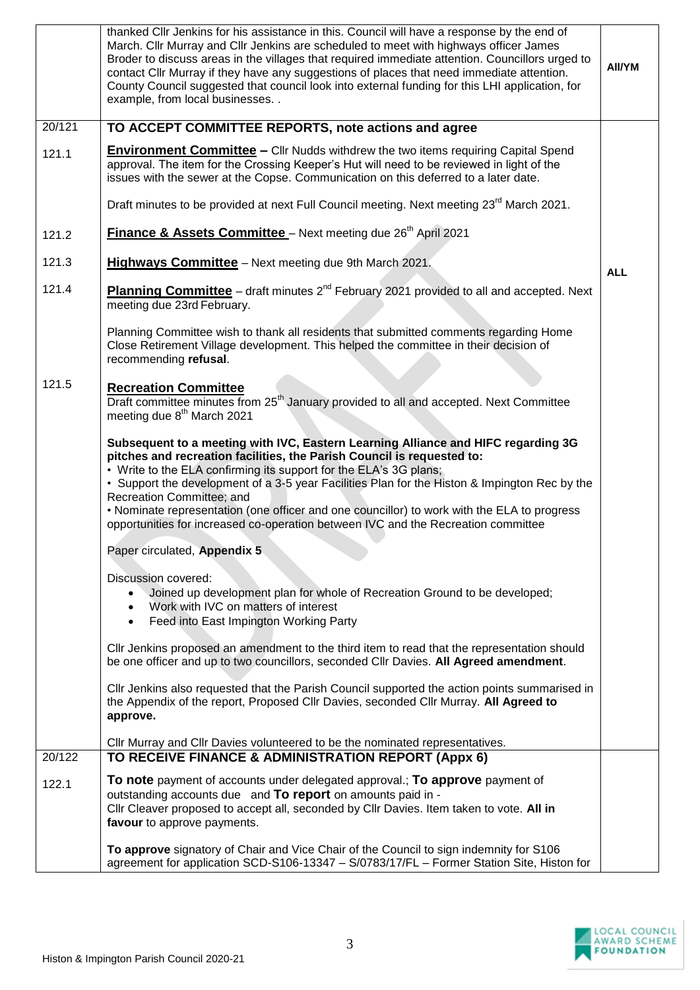|                 | thanked CIIr Jenkins for his assistance in this. Council will have a response by the end of<br>March. Cllr Murray and Cllr Jenkins are scheduled to meet with highways officer James<br>Broder to discuss areas in the villages that required immediate attention. Councillors urged to<br>contact CIIr Murray if they have any suggestions of places that need immediate attention.<br>County Council suggested that council look into external funding for this LHI application, for<br>example, from local businesses. .                        | AII/YM     |
|-----------------|----------------------------------------------------------------------------------------------------------------------------------------------------------------------------------------------------------------------------------------------------------------------------------------------------------------------------------------------------------------------------------------------------------------------------------------------------------------------------------------------------------------------------------------------------|------------|
| 20/121          | TO ACCEPT COMMITTEE REPORTS, note actions and agree                                                                                                                                                                                                                                                                                                                                                                                                                                                                                                |            |
| 121.1           | <b>Environment Committee</b> – Cllr Nudds withdrew the two items requiring Capital Spend<br>approval. The item for the Crossing Keeper's Hut will need to be reviewed in light of the<br>issues with the sewer at the Copse. Communication on this deferred to a later date.                                                                                                                                                                                                                                                                       |            |
|                 | Draft minutes to be provided at next Full Council meeting. Next meeting 23 <sup>rd</sup> March 2021.                                                                                                                                                                                                                                                                                                                                                                                                                                               |            |
| 121.2           | Finance & Assets Committee - Next meeting due 26 <sup>th</sup> April 2021                                                                                                                                                                                                                                                                                                                                                                                                                                                                          |            |
| 121.3           | <b>Highways Committee</b> - Next meeting due 9th March 2021.                                                                                                                                                                                                                                                                                                                                                                                                                                                                                       | <b>ALL</b> |
| 121.4           | Planning Committee - draft minutes 2 <sup>nd</sup> February 2021 provided to all and accepted. Next<br>meeting due 23rd February.                                                                                                                                                                                                                                                                                                                                                                                                                  |            |
|                 | Planning Committee wish to thank all residents that submitted comments regarding Home<br>Close Retirement Village development. This helped the committee in their decision of<br>recommending refusal.                                                                                                                                                                                                                                                                                                                                             |            |
| 121.5           | <b>Recreation Committee</b><br>Draft committee minutes from 25 <sup>th</sup> January provided to all and accepted. Next Committee<br>meeting due 8 <sup>th</sup> March 2021                                                                                                                                                                                                                                                                                                                                                                        |            |
|                 | Subsequent to a meeting with IVC, Eastern Learning Alliance and HIFC regarding 3G<br>pitches and recreation facilities, the Parish Council is requested to:<br>• Write to the ELA confirming its support for the ELA's 3G plans;<br>• Support the development of a 3-5 year Facilities Plan for the Histon & Impington Rec by the<br>Recreation Committee; and<br>• Nominate representation (one officer and one councillor) to work with the ELA to progress<br>opportunities for increased co-operation between IVC and the Recreation committee |            |
|                 | Paper circulated, Appendix 5                                                                                                                                                                                                                                                                                                                                                                                                                                                                                                                       |            |
|                 | Discussion covered:<br>Joined up development plan for whole of Recreation Ground to be developed;<br>$\bullet$<br>Work with IVC on matters of interest<br>$\bullet$<br>Feed into East Impington Working Party<br>$\bullet$                                                                                                                                                                                                                                                                                                                         |            |
|                 | CIIr Jenkins proposed an amendment to the third item to read that the representation should<br>be one officer and up to two councillors, seconded Cllr Davies. All Agreed amendment.                                                                                                                                                                                                                                                                                                                                                               |            |
|                 | CIIr Jenkins also requested that the Parish Council supported the action points summarised in<br>the Appendix of the report, Proposed Cllr Davies, seconded Cllr Murray. All Agreed to<br>approve.                                                                                                                                                                                                                                                                                                                                                 |            |
|                 | Cllr Murray and Cllr Davies volunteered to be the nominated representatives.                                                                                                                                                                                                                                                                                                                                                                                                                                                                       |            |
| 20/122<br>122.1 | TO RECEIVE FINANCE & ADMINISTRATION REPORT (Appx 6)<br>To note payment of accounts under delegated approval.; To approve payment of<br>outstanding accounts due and To report on amounts paid in -<br>Cllr Cleaver proposed to accept all, seconded by Cllr Davies. Item taken to vote. All in<br>favour to approve payments.                                                                                                                                                                                                                      |            |
|                 | To approve signatory of Chair and Vice Chair of the Council to sign indemnity for S106<br>agreement for application SCD-S106-13347 - S/0783/17/FL - Former Station Site, Histon for                                                                                                                                                                                                                                                                                                                                                                |            |